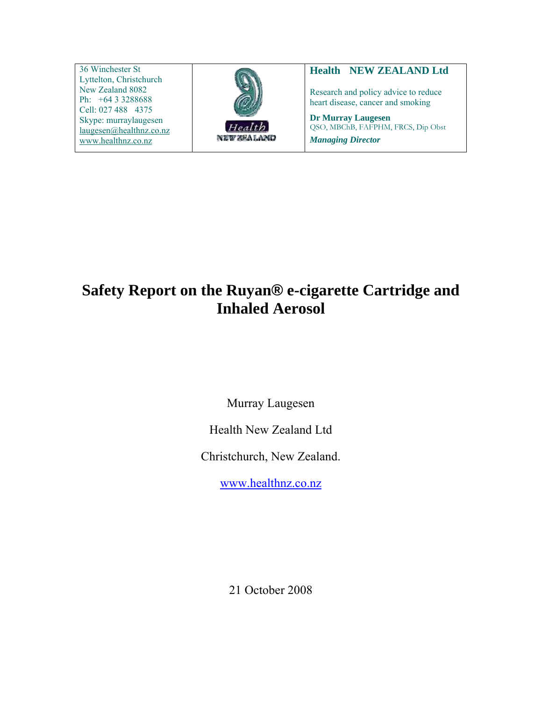36 Winchester St Lyttelton, Christchurch New Zealand 8082 Ph: +64 3 3288688 Cell: 027 488 4375 Skype: murraylaugesen [laugesen@healthnz.co.nz](mailto:laugesen@healthnz.co.nz) [www.healthnz.co.nz](http://www.healthnz.co.nz/) 



#### **Health NEW ZEALAND Ltd**

Research and policy advice to reduce heart disease, cancer and smoking

**Dr Murray Laugesen**  QSO, MBChB, FAFPHM, FRCS, Dip Obst *Managing Director*

**Safety Report on the Ruyan® e-cigarette Cartridge and Inhaled Aerosol** 

Murray Laugesen

Health New Zealand Ltd

Christchurch, New Zealand.

[www.healthnz.co.nz](http://www.healthnz.co.nz/)

21 October 2008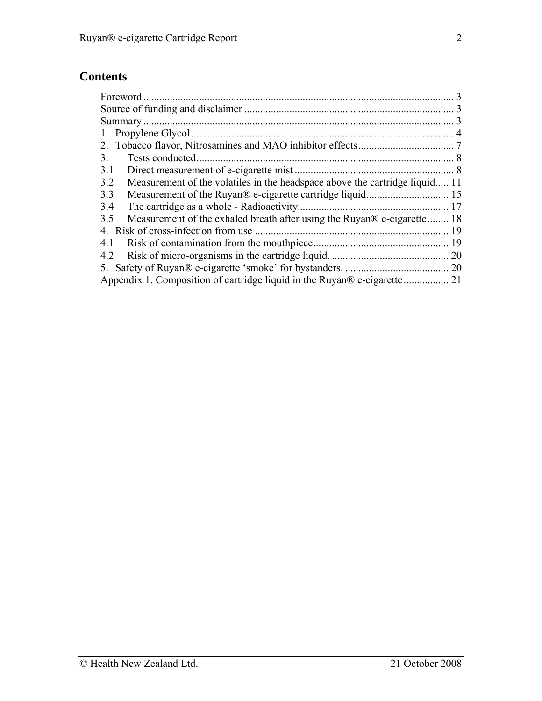# **Contents**

| Foreword                                                                           |                |
|------------------------------------------------------------------------------------|----------------|
|                                                                                    |                |
|                                                                                    |                |
|                                                                                    | $\overline{4}$ |
|                                                                                    |                |
| Tests conducted.<br>3.                                                             |                |
| 3.1                                                                                |                |
| Measurement of the volatiles in the headspace above the cartridge liquid 11<br>3.2 |                |
| 3.3                                                                                |                |
| 3.4                                                                                |                |
| Measurement of the exhaled breath after using the Ruyan® e-cigarette 18<br>3.5     |                |
| Risk of cross-infection from use<br>4.                                             |                |
| 4.1                                                                                |                |
| 4.2                                                                                |                |
|                                                                                    |                |
|                                                                                    |                |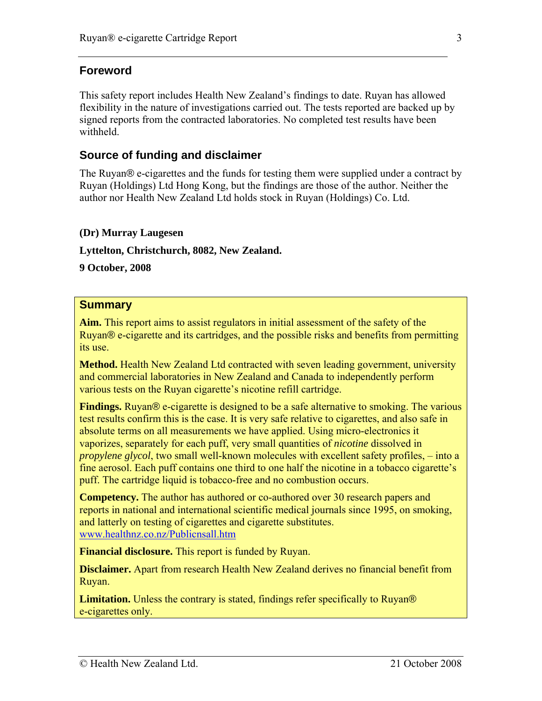## <span id="page-2-0"></span>**Foreword**

This safety report includes Health New Zealand's findings to date. Ruyan has allowed flexibility in the nature of investigations carried out. The tests reported are backed up by signed reports from the contracted laboratories. No completed test results have been withheld.

## **Source of funding and disclaimer**

The Ruyan<sup>®</sup> e-cigarettes and the funds for testing them were supplied under a contract by Ruyan (Holdings) Ltd Hong Kong, but the findings are those of the author. Neither the author nor Health New Zealand Ltd holds stock in Ruyan (Holdings) Co. Ltd.

#### **(Dr) Murray Laugesen**

**Lyttelton, Christchurch, 8082, New Zealand.** 

**9 October, 2008** 

#### **Summary**

**Aim.** This report aims to assist regulators in initial assessment of the safety of the Ruyan® e-cigarette and its cartridges, and the possible risks and benefits from permitting its use.

**Method.** Health New Zealand Ltd contracted with seven leading government, university and commercial laboratories in New Zealand and Canada to independently perform various tests on the Ruyan cigarette's nicotine refill cartridge.

**Findings.** Ruyan® e-cigarette is designed to be a safe alternative to smoking. The various test results confirm this is the case. It is very safe relative to cigarettes, and also safe in absolute terms on all measurements we have applied. Using micro-electronics it vaporizes, separately for each puff, very small quantities of *nicotine* dissolved in *propylene glycol*, two small well-known molecules with excellent safety profiles, – into a fine aerosol. Each puff contains one third to one half the nicotine in a tobacco cigarette's puff. The cartridge liquid is tobacco-free and no combustion occurs.

**Competency.** The author has authored or co-authored over 30 research papers and reports in national and international scientific medical journals since 1995, on smoking, and latterly on testing of cigarettes and cigarette substitutes. [www.healthnz.co.nz/Publicnsall.htm](http://www.healthnz.co.nz/Publicnsall.htm) 

**Financial disclosure.** This report is funded by Ruyan.

**Disclaimer.** Apart from research Health New Zealand derives no financial benefit from Ruyan.

**Limitation.** Unless the contrary is stated, findings refer specifically to Ruyan® e-cigarettes only.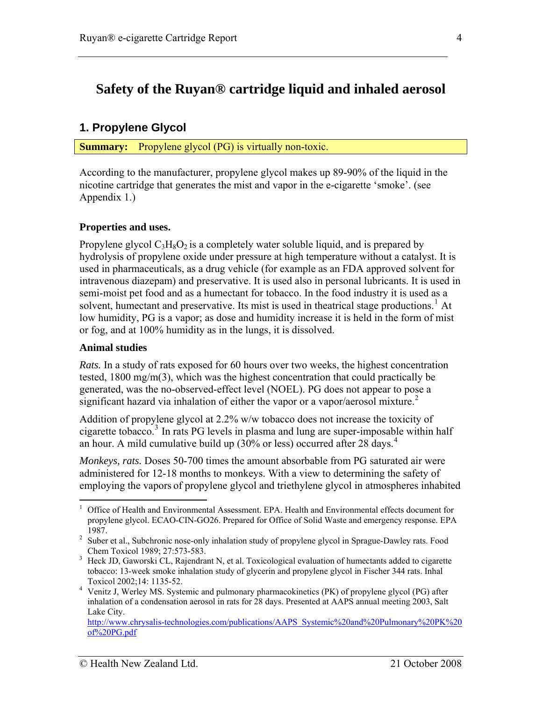## <span id="page-3-0"></span>**Safety of the Ruyan® cartridge liquid and inhaled aerosol**

### **1. Propylene Glycol**

**Summary:** Propylene glycol (PG) is virtually non-toxic.

According to the manufacturer, propylene glycol makes up 89-90% of the liquid in the nicotine cartridge that generates the mist and vapor in the e-cigarette 'smoke'. (see Appendix 1.)

#### **Properties and uses.**

Propylene glycol  $C_3H_8O_2$  is a completely water soluble liquid, and is prepared by hydrolysis of propylene oxide under pressure at high temperature without a catalyst. It is used in pharmaceuticals, as a drug vehicle (for example as an FDA approved solvent for intravenous diazepam) and preservative. It is used also in personal lubricants. It is used in semi-moist pet food and as a humectant for tobacco. In the food industry it is used as a solvent, humectant and preservative. Its mist is used in theatrical stage productions.<sup>[1](#page-3-1)</sup> At low humidity, PG is a vapor; as dose and humidity increase it is held in the form of mist or fog, and at 100% humidity as in the lungs, it is dissolved.

#### <span id="page-3-5"></span>**Animal studies**

*Rats.* In a study of rats exposed for 60 hours over two weeks, the highest concentration tested, 1800 mg/m(3), which was the highest concentration that could practically be generated, was the no-observed-effect level (NOEL). PG does not appear to pose a significant hazard via inhalation of either the vapor or a vapor/aerosol mixture.<sup>[2](#page-3-2)</sup>

Addition of propylene glycol at 2.2% w/w tobacco does not increase the toxicity of cigarette tobacco.<sup>[3](#page-3-3)</sup> In rats PG levels in plasma and lung are super-imposable within half an hour. A mild cumulative build up  $(30\% \text{ or } \text{less})$  occurred after 28 days.<sup>[4](#page-3-4)</sup>

*Monkeys, rats.* Doses 50-700 times the amount absorbable from PG saturated air were administered for 12-18 months to monkeys. With a view to determining the safety of employing the vapors of propylene glycol and triethylene glycol in atmospheres inhabited

<span id="page-3-1"></span> $\overline{a}$ <sup>1</sup> Office of Health and Environmental Assessment. EPA. Health and Environmental effects document for propylene glycol. ECAO-CIN-GO26. Prepared for Office of Solid Waste and emergency response. EPA

<span id="page-3-2"></span><sup>1987. 2</sup> Suber et al., Subchronic nose-only inhalation study of propylene glycol in Sprague-Dawley rats. Food Chem Toxicol 1989; 27:573-583.

<span id="page-3-3"></span><sup>&</sup>lt;sup>3</sup> Heck JD, Gaworski CL, Rajendrant N, et al. Toxicological evaluation of humectants added to cigarette tobacco: 13-week smoke inhalation study of glycerin and propylene glycol in Fischer 344 rats. Inhal Toxicol 2002;14: 1135-52. 4

<span id="page-3-4"></span><sup>&</sup>lt;sup>4</sup> Venitz J, Werley MS. Systemic and pulmonary pharmacokinetics (PK) of propylene glycol (PG) after inhalation of a condensation aerosol in rats for 28 days. Presented at AAPS annual meeting 2003, Salt Lake City.

[http://www.chrysalis-technologies.com/publications/AAPS\\_Systemic%20and%20Pulmonary%20PK%20](http://www.chrysalis-technologies.com/publications/AAPS_Systemic%20and%20Pulmonary%20PK%20of%20PG.pdf) [of%20PG.pdf](http://www.chrysalis-technologies.com/publications/AAPS_Systemic%20and%20Pulmonary%20PK%20of%20PG.pdf)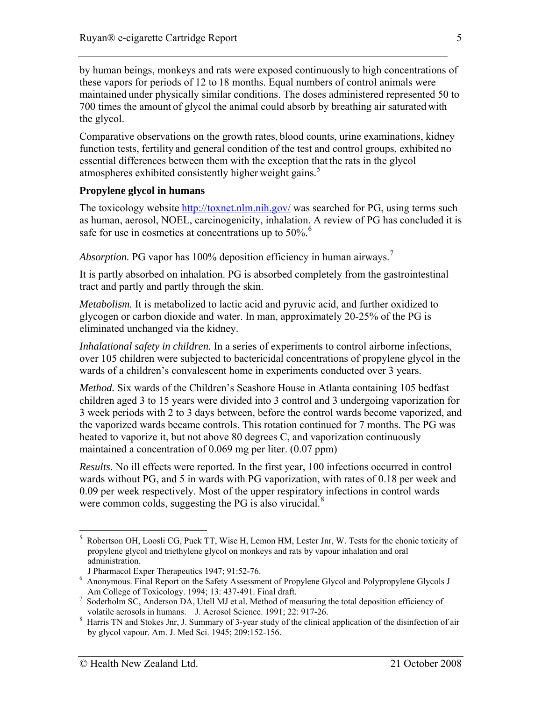by human beings, monkeys and rats were exposed continuously to high concentrations of these vapors for periods of 12 to 18 months. Equal numbers of control animals were maintained under physically similar conditions. The doses administered represented 50 to 700 times the amount of glycol the animal could absorb by breathing air saturated with the glycol.

Comparative observations on the growth rates, blood counts, urine examinations, kidney function tests, fertility and general condition of the test and control groups, exhibited no essential differences between them with the exception that the rats in the glycol atmospheres exhibited consistently higher weight gains.<sup>[5](#page-4-0)</sup>

#### **Propylene glycol in humans**

The toxicology website <http://toxnet.nlm.nih.gov/> was searched for PG, using terms such as human, aerosol, NOEL, carcinogenicity, inhalation. A review of PG has concluded it is safe for use in cosmetics at concentrations up to  $50\%$ .<sup>[6](#page-4-1)</sup>

*Absorption.* PG vapor has 100% deposition efficiency in human airways.<sup>[7](#page-4-2)</sup>

It is partly absorbed on inhalation. PG is absorbed completely from the gastrointestinal tract and partly and partly through the skin.

*Metabolism.* It is metabolized to lactic acid and pyruvic acid, and further oxidized to glycogen or carbon dioxide and water. In man, approximately 20-25% of the PG is eliminated unchanged via the kidney.

*Inhalational safety in children.* In a series of experiments to control airborne infections, over 105 children were subjected to bactericidal concentrations of propylene glycol in the wards of a children's convalescent home in experiments conducted over 3 years.

*Method.* Six wards of the Children's Seashore House in Atlanta containing 105 bedfast children aged 3 to 15 years were divided into 3 control and 3 undergoing vaporization for 3 week periods with 2 to 3 days between, before the control wards become vaporized, and the vaporized wards became controls. This rotation continued for 7 months. The PG was heated to vaporize it, but not above 80 degrees C, and vaporization continuously maintained a concentration of 0.069 mg per liter. (0.07 ppm)

*Results.* No ill effects were reported. In the first year, 100 infections occurred in control wards without PG, and 5 in wards with PG vaporization, with rates of 0.18 per week and 0.09 per week respectively. Most of the upper respiratory infections in control wards were common colds, suggesting the PG is also virucidal.<sup>[8](#page-4-3)</sup>

<span id="page-4-0"></span><sup>5</sup> Robertson OH, Loosli CG, Puck TT, Wise H, Lemon HM, Lester Jnr, W. Tests for the chonic toxicity of propylene glycol and triethylene glycol on monkeys and rats by vapour inhalation and oral administration.

J Pharmacol Exper Therapeutics 1947; 91:52-76.

<span id="page-4-1"></span><sup>&</sup>lt;sup>6</sup> Anonymous. Final Report on the Safety Assessment of Propylene Glycol and Polypropylene Glycols J Am College of Toxicology. 1994; 13: 437-491. Final draft.

<span id="page-4-2"></span><sup>&</sup>lt;sup>7</sup> Soderholm SC, Anderson DA, Utell MJ et al. Method of measuring the total deposition efficiency of volatile aerosols in humans. J. Aerosol Science. 1991; 22: 917-26. volatile aerosols in humans. J. Aerosol Science. 1991; 22: 917-26.<br><sup>8</sup> Harris TN and Stokes Jnr, J. Summary of 3-year study of the clinical application of the disinfection of air

<span id="page-4-3"></span>by glycol vapour. Am. J. Med Sci. 1945; 209:152-156.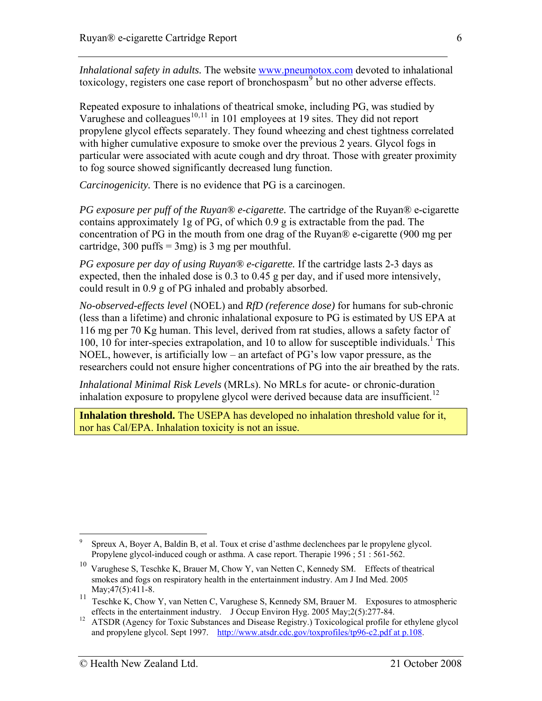*Inhalational safety in adults.* The website [www.pneumotox.com](http://www.pneumotox.com/) devoted to inhalational toxicology, registers one case report of bronchospasm<sup>[9](#page-5-0)</sup> but no other adverse effects.

Repeated exposure to inhalations of theatrical smoke, including PG, was studied by Varughese and colleagues<sup>[10](#page-5-1),[11](#page-5-2)</sup> in 101 employees at 19 sites. They did not report propylene glycol effects separately. They found wheezing and chest tightness correlated with higher cumulative exposure to smoke over the previous 2 years. Glycol fogs in particular were associated with acute cough and dry throat. Those with greater proximity to fog source showed significantly decreased lung function.

*Carcinogenicity.* There is no evidence that PG is a carcinogen.

*PG exposure per puff of the Ruyan® e-cigarette.* The cartridge of the Ruyan® e-cigarette contains approximately 1g of PG, of which 0.9 g is extractable from the pad. The concentration of PG in the mouth from one drag of the Ruyan® e-cigarette (900 mg per cartridge, 300 puffs  $=$  3mg) is 3 mg per mouthful.

*PG exposure per day of using Ruyan® e-cigarette.* If the cartridge lasts 2-3 days as expected, then the inhaled dose is 0.3 to 0.45 g per day, and if used more intensively, could result in 0.9 g of PG inhaled and probably absorbed.

*No-observed-effects level* (NOEL) and *RfD (reference dose)* for humans for sub-chronic (less than a lifetime) and chronic inhalational exposure to PG is estimated by US EPA at 116 mg per 70 Kg human. This level, derived from rat studies, allows a safety factor of [1](#page-3-5)00, 10 for inter-species extrapolation, and 10 to allow for susceptible individuals.<sup>1</sup> This NOEL, however, is artificially low – an artefact of PG's low vapor pressure, as the researchers could not ensure higher concentrations of PG into the air breathed by the rats.

*Inhalational Minimal Risk Levels* (MRLs). No MRLs for acute- or chronic-duration inhalation exposure to propylene glycol were derived because data are insufficient.<sup>[12](#page-5-3)</sup>

**Inhalation threshold.** The USEPA has developed no inhalation threshold value for it, nor has Cal/EPA. Inhalation toxicity is not an issue.

<span id="page-5-0"></span><sup>9</sup> Spreux A, Boyer A, Baldin B, et al. Toux et crise d'asthme declenchees par le propylene glycol. Propylene glycol-induced cough or asthma. A case report. Therapie 1996 ; 51 : 561-562.

<span id="page-5-1"></span><sup>&</sup>lt;sup>10</sup> Varughese S, Teschke K, Brauer M, Chow Y, van Netten C, Kennedy SM. Effects of theatrical smokes and fogs on respiratory health in the entertainment industry. Am J Ind Med. 2005

<span id="page-5-2"></span>May;47(5):411-8.<br><sup>11</sup> Teschke K, Chow Y, van Netten C, Varughese S, Kennedy SM, Brauer M. Exposures to atmospheric

<span id="page-5-3"></span>effects in the entertainment industry. J Occup Environ Hyg. 2005 May;2(5):277-84. 12 ATSDR (Agency for Toxic Substances and Disease Registry.) Toxicological profile for ethylene glycol and propylene glycol. Sept 1997. [http://www.atsdr.cdc.gov/toxprofiles/tp96-c2.pdf at p.108.](http://www.atsdr.cdc.gov/toxprofiles/tp96-c2.pdf%20at%20p.108)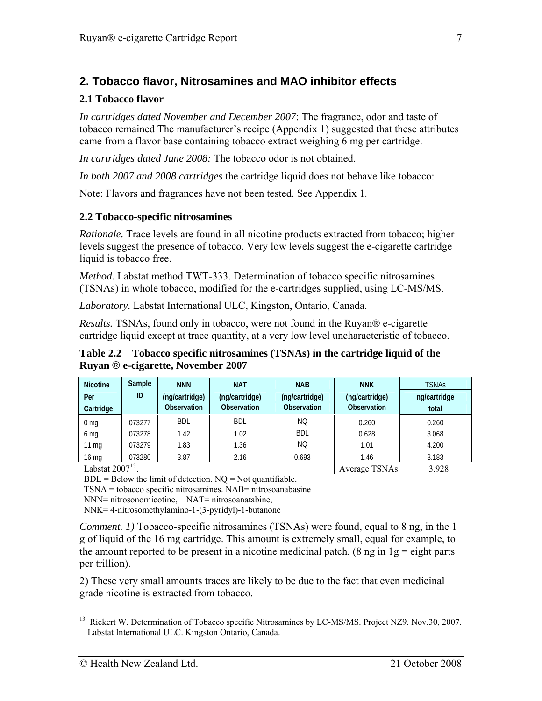## <span id="page-6-0"></span>**2. Tobacco flavor, Nitrosamines and MAO inhibitor effects**

#### **2.1 Tobacco flavor**

*In cartridges dated November and December 2007*: The fragrance, odor and taste of tobacco remained The manufacturer's recipe (Appendix 1) suggested that these attributes came from a flavor base containing tobacco extract weighing 6 mg per cartridge.

*In cartridges dated June 2008:* The tobacco odor is not obtained.

*In both 2007 and 2008 cartridges* the cartridge liquid does not behave like tobacco:

Note: Flavors and fragrances have not been tested. See Appendix 1.

#### **2.2 Tobacco-specific nitrosamines**

*Rationale.* Trace levels are found in all nicotine products extracted from tobacco; higher levels suggest the presence of tobacco. Very low levels suggest the e-cigarette cartridge liquid is tobacco free.

*Method.* Labstat method TWT-333. Determination of tobacco specific nitrosamines (TSNAs) in whole tobacco, modified for the e-cartridges supplied, using LC-MS/MS.

*Laboratory.* Labstat International ULC, Kingston, Ontario, Canada.

*Results.* TSNAs, found only in tobacco, were not found in the Ruyan® e-cigarette cartridge liquid except at trace quantity, at a very low level uncharacteristic of tobacco.

**Table 2.2 Tobacco specific nitrosamines (TSNAs) in the cartridge liquid of the Ruyan** ® **e-cigarette, November 2007** 

| <b>Nicotine</b>       | Sample<br>ID | <b>NNN</b>                    | <b>NAT</b>                    | <b>NAB</b>                           | <b>NNK</b>                    | <b>TSNAs</b>          |
|-----------------------|--------------|-------------------------------|-------------------------------|--------------------------------------|-------------------------------|-----------------------|
| Per<br>Cartridge      |              | (ng/cartridge)<br>Observation | (ng/cartridge)<br>Observation | (ng/cartridge)<br><b>Observation</b> | (ng/cartridge)<br>Observation | ng/cartridge<br>total |
|                       |              | <b>BDL</b>                    | <b>BDL</b>                    | NQ                                   |                               |                       |
| 0 <sub>mg</sub>       | 073277       |                               |                               |                                      | 0.260                         | 0.260                 |
| 6 mg                  | 073278       | 1.42                          | 1.02                          | BDL                                  | 0.628                         | 3.068                 |
| $11 \text{ mg}$       | 073279       | 1.83                          | 1.36                          | NQ                                   | 1.01                          | 4.200                 |
| $16 \text{ mg}$       | 073280       | 3.87                          | 2.16                          | 0.693                                | 1.46                          | 8.183                 |
| Labstat $2007^{13}$ . |              |                               |                               |                                      | Average TSNAs                 | 3.928                 |

 $BDL = Below$  the limit of detection.  $NO = Not$  quantifiable.

TSNA = tobacco specific nitrosamines. NAB= nitrosoanabasine

NNN= nitrosonornicotine, NAT= nitrosoanatabine,

NNK= 4-nitrosomethylamino-1-(3-pyridyl)-1-butanone

*Comment. 1)* Tobacco-specific nitrosamines (TSNAs) were found, equal to 8 ng, in the 1 g of liquid of the 16 mg cartridge. This amount is extremely small, equal for example, to the amount reported to be present in a nicotine medicinal patch. (8 ng in  $1g =$  eight parts per trillion).

2) These very small amounts traces are likely to be due to the fact that even medicinal grade nicotine is extracted from tobacco.

<span id="page-6-1"></span> $\overline{a}$ <sup>13</sup> Rickert W. Determination of Tobacco specific Nitrosamines by LC-MS/MS. Project NZ9. Nov.30, 2007. Labstat International ULC. Kingston Ontario, Canada.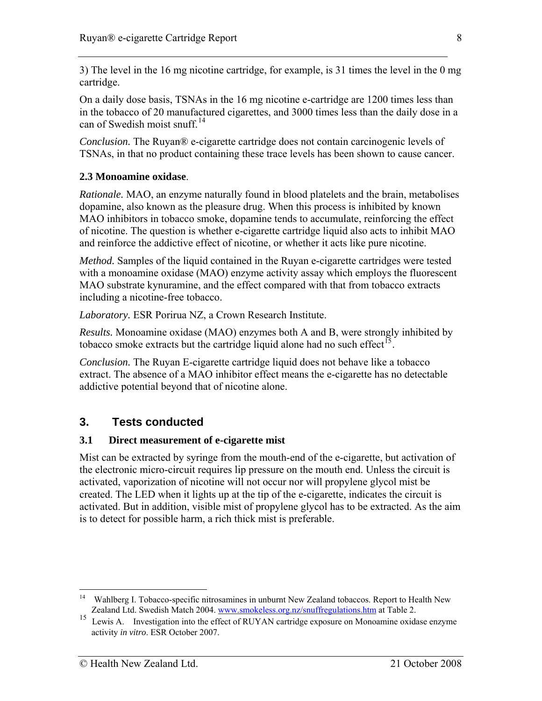<span id="page-7-0"></span>3) The level in the 16 mg nicotine cartridge, for example, is 31 times the level in the 0 mg cartridge.

On a daily dose basis, TSNAs in the 16 mg nicotine e-cartridge are 1200 times less than in the tobacco of 20 manufactured cigarettes, and 3000 times less than the daily dose in a can of Swedish moist snuff<sup>[14](#page-7-1)</sup>

*Conclusion.* The Ruyan® e-cigarette cartridge does not contain carcinogenic levels of TSNAs, in that no product containing these trace levels has been shown to cause cancer.

## **2.3 Monoamine oxidase**.

*Rationale.* MAO, an enzyme naturally found in blood platelets and the brain, metabolises dopamine, also known as the pleasure drug. When this process is inhibited by known MAO inhibitors in tobacco smoke, dopamine tends to accumulate, reinforcing the effect of nicotine. The question is whether e-cigarette cartridge liquid also acts to inhibit MAO and reinforce the addictive effect of nicotine, or whether it acts like pure nicotine.

*Method.* Samples of the liquid contained in the Ruyan e-cigarette cartridges were tested with a monoamine oxidase (MAO) enzyme activity assay which employs the fluorescent MAO substrate kynuramine, and the effect compared with that from tobacco extracts including a nicotine-free tobacco.

*Laboratory.* ESR Porirua NZ, a Crown Research Institute.

*Results.* Monoamine oxidase (MAO) enzymes both A and B, were strongly inhibited by tobacco smoke extracts but the cartridge liquid alone had no such effect<sup>[15](#page-7-2)</sup>.

*Conclusion.* The Ruyan E-cigarette cartridge liquid does not behave like a tobacco extract. The absence of a MAO inhibitor effect means the e-cigarette has no detectable addictive potential beyond that of nicotine alone.

## **3. Tests conducted**

#### **3.1 Direct measurement of e-cigarette mist**

Mist can be extracted by syringe from the mouth-end of the e-cigarette, but activation of the electronic micro-circuit requires lip pressure on the mouth end. Unless the circuit is activated, vaporization of nicotine will not occur nor will propylene glycol mist be created. The LED when it lights up at the tip of the e-cigarette, indicates the circuit is activated. But in addition, visible mist of propylene glycol has to be extracted. As the aim is to detect for possible harm, a rich thick mist is preferable.

<span id="page-7-1"></span> $14$ 14 Wahlberg I. Tobacco-specific nitrosamines in unburnt New Zealand tobaccos. Report to Health New Zealand Ltd. Swedish Match 2004. [www.smokeless.org.nz/snuffregulations.htm](http://www.smokeless.org.nz/snuffregulations.htm) at Table 2.

<span id="page-7-2"></span><sup>&</sup>lt;sup>15</sup> Lewis A. Investigation into the effect of RUYAN cartridge exposure on Monoamine oxidase enzyme activity *in vitro*. ESR October 2007.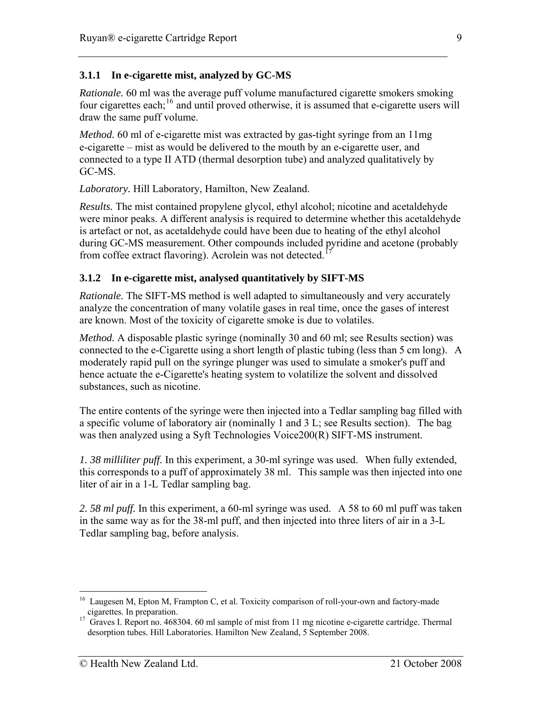### **3.1.1 In e-cigarette mist, analyzed by GC-MS**

*Rationale.* 60 ml was the average puff volume manufactured cigarette smokers smoking four cigarettes each;<sup>[16](#page-8-0)</sup> and until proved otherwise, it is assumed that e-cigarette users will draw the same puff volume.

*Method.* 60 ml of e-cigarette mist was extracted by gas-tight syringe from an 11mg e-cigarette – mist as would be delivered to the mouth by an e-cigarette user, and connected to a type II ATD (thermal desorption tube) and analyzed qualitatively by GC-MS.

*Laboratory.* Hill Laboratory, Hamilton, New Zealand.

*Results.* The mist contained propylene glycol, ethyl alcohol; nicotine and acetaldehyde were minor peaks. A different analysis is required to determine whether this acetaldehyde is artefact or not, as acetaldehyde could have been due to heating of the ethyl alcohol during GC-MS measurement. Other compounds included pyridine and acetone (probably from coffee extract flavoring). Acrolein was not detected.<sup>1</sup>

#### **3.1.2 In e-cigarette mist, analysed quantitatively by SIFT-MS**

*Rationale.* The SIFT-MS method is well adapted to simultaneously and very accurately analyze the concentration of many volatile gases in real time, once the gases of interest are known. Most of the toxicity of cigarette smoke is due to volatiles.

*Method.* A disposable plastic syringe (nominally 30 and 60 ml; see Results section) was connected to the e-Cigarette using a short length of plastic tubing (less than 5 cm long). A moderately rapid pull on the syringe plunger was used to simulate a smoker's puff and hence actuate the e-Cigarette's heating system to volatilize the solvent and dissolved substances, such as nicotine.

The entire contents of the syringe were then injected into a Tedlar sampling bag filled with a specific volume of laboratory air (nominally 1 and 3 L; see Results section). The bag was then analyzed using a Syft Technologies Voice200(R) SIFT-MS instrument.

*1. 38 milliliter puff.* In this experiment, a 30-ml syringe was used. When fully extended, this corresponds to a puff of approximately 38 ml. This sample was then injected into one liter of air in a 1-L Tedlar sampling bag.

*2. 58 ml puff.* In this experiment, a 60-ml syringe was used. A 58 to 60 ml puff was taken in the same way as for the 38-ml puff, and then injected into three liters of air in a 3-L Tedlar sampling bag, before analysis.

<span id="page-8-0"></span><sup>&</sup>lt;sup>16</sup> Laugesen M, Epton M, Frampton C, et al. Toxicity comparison of roll-your-own and factory-made cigarettes. In preparation.

<span id="page-8-1"></span><sup>&</sup>lt;sup>17</sup> Graves I. Report no. 468304. 60 ml sample of mist from 11 mg nicotine e-cigarette cartridge. Thermal desorption tubes. Hill Laboratories. Hamilton New Zealand, 5 September 2008.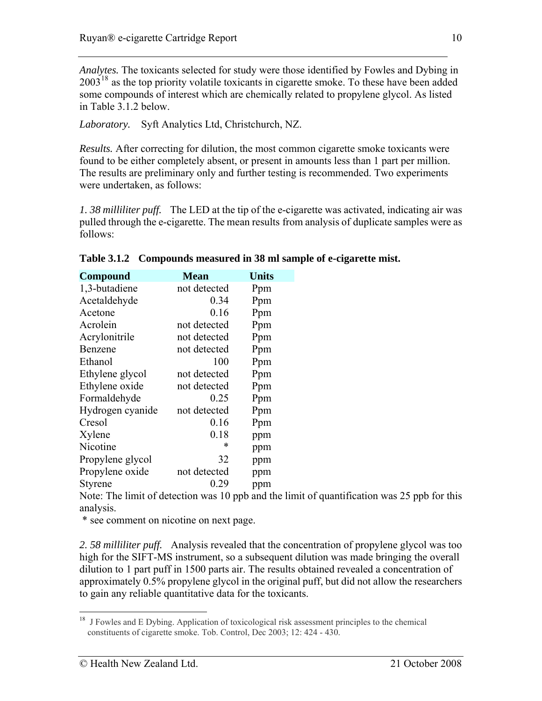*Analytes.* The toxicants selected for study were those identified by Fowles and Dybing in  $2003<sup>18</sup>$  $2003<sup>18</sup>$  $2003<sup>18</sup>$  as the top priority volatile toxicants in cigarette smoke. To these have been added some compounds of interest which are chemically related to propylene glycol. As listed in Table 3.1.2 below.

*Laboratory.* Syft Analytics Ltd, Christchurch, NZ.

*Results.* After correcting for dilution, the most common cigarette smoke toxicants were found to be either completely absent, or present in amounts less than 1 part per million. The results are preliminary only and further testing is recommended. Two experiments were undertaken, as follows:

*1. 38 milliliter puff.* The LED at the tip of the e-cigarette was activated, indicating air was pulled through the e-cigarette. The mean results from analysis of duplicate samples were as follows:

| <b>Compound</b>  | <b>Mean</b>  | <b>Units</b> |
|------------------|--------------|--------------|
| 1,3-butadiene    | not detected | Ppm          |
| Acetaldehyde     | 0.34         | Ppm          |
| Acetone          | 0.16         | Ppm          |
| Acrolein         | not detected | Ppm          |
| Acrylonitrile    | not detected | Ppm          |
| Benzene          | not detected | Ppm          |
| Ethanol          | 100          | Ppm          |
| Ethylene glycol  | not detected | Ppm          |
| Ethylene oxide   | not detected | Ppm          |
| Formaldehyde     | 0.25         | Ppm          |
| Hydrogen cyanide | not detected | Ppm          |
| Cresol           | 0.16         | Ppm          |
| Xylene           | 0.18         | ppm          |
| Nicotine         | *            | ppm          |
| Propylene glycol | 32           | ppm          |
| Propylene oxide  | not detected | ppm          |
| Styrene          | 0.29         | ppm          |

**Table 3.1.2 Compounds measured in 38 ml sample of e-cigarette mist.** 

Note: The limit of detection was 10 ppb and the limit of quantification was 25 ppb for this analysis.

\* see comment on nicotine on next page.

*2. 58 milliliter puff.* Analysis revealed that the concentration of propylene glycol was too high for the SIFT-MS instrument, so a subsequent dilution was made bringing the overall dilution to 1 part puff in 1500 parts air. The results obtained revealed a concentration of approximately 0.5% propylene glycol in the original puff, but did not allow the researchers to gain any reliable quantitative data for the toxicants.

<span id="page-9-0"></span><sup>&</sup>lt;sup>18</sup> J Fowles and E Dybing. Application of toxicological risk assessment principles to the chemical constituents of cigarette smoke. Tob. Control, Dec 2003; 12: 424 - 430.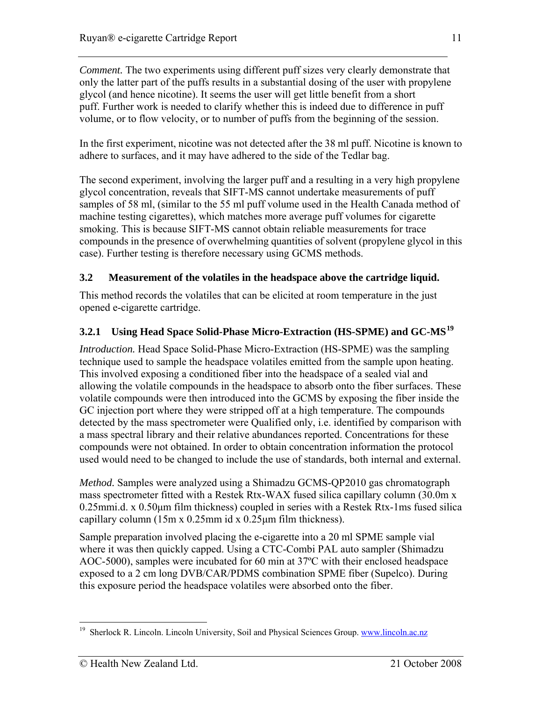<span id="page-10-0"></span>*Comment.* The two experiments using different puff sizes very clearly demonstrate that only the latter part of the puffs results in a substantial dosing of the user with propylene glycol (and hence nicotine). It seems the user will get little benefit from a short puff. Further work is needed to clarify whether this is indeed due to difference in puff volume, or to flow velocity, or to number of puffs from the beginning of the session.

In the first experiment, nicotine was not detected after the 38 ml puff. Nicotine is known to adhere to surfaces, and it may have adhered to the side of the Tedlar bag.

The second experiment, involving the larger puff and a resulting in a very high propylene glycol concentration, reveals that SIFT-MS cannot undertake measurements of puff samples of 58 ml, (similar to the 55 ml puff volume used in the Health Canada method of machine testing cigarettes), which matches more average puff volumes for cigarette smoking. This is because SIFT-MS cannot obtain reliable measurements for trace compounds in the presence of overwhelming quantities of solvent (propylene glycol in this case). Further testing is therefore necessary using GCMS methods.

## **3.2 Measurement of the volatiles in the headspace above the cartridge liquid.**

This method records the volatiles that can be elicited at room temperature in the just opened e-cigarette cartridge.

## **3.2.1 Using Head Space Solid-Phase Micro-Extraction (HS-SPME) and GC-MS[19](#page-10-1)**

*Introduction.* Head Space Solid-Phase Micro-Extraction (HS-SPME) was the sampling technique used to sample the headspace volatiles emitted from the sample upon heating. This involved exposing a conditioned fiber into the headspace of a sealed vial and allowing the volatile compounds in the headspace to absorb onto the fiber surfaces. These volatile compounds were then introduced into the GCMS by exposing the fiber inside the GC injection port where they were stripped off at a high temperature. The compounds detected by the mass spectrometer were Qualified only, i.e. identified by comparison with a mass spectral library and their relative abundances reported. Concentrations for these compounds were not obtained. In order to obtain concentration information the protocol used would need to be changed to include the use of standards, both internal and external.

*Method.* Samples were analyzed using a Shimadzu GCMS-QP2010 gas chromatograph mass spectrometer fitted with a Restek Rtx-WAX fused silica capillary column (30.0m x 0.25mmi.d. x 0.50μm film thickness) coupled in series with a Restek Rtx-1ms fused silica capillary column (15m x 0.25mm id x 0.25μm film thickness).

Sample preparation involved placing the e-cigarette into a 20 ml SPME sample vial where it was then quickly capped. Using a CTC-Combi PAL auto sampler (Shimadzu AOC-5000), samples were incubated for 60 min at 37ºC with their enclosed headspace exposed to a 2 cm long DVB/CAR/PDMS combination SPME fiber (Supelco). During this exposure period the headspace volatiles were absorbed onto the fiber.

<span id="page-10-1"></span><sup>&</sup>lt;sup>19</sup> Sherlock R. Lincoln. Lincoln University, Soil and Physical Sciences Group. [www.lincoln.ac.nz](http://www.lincoln.ac.nz/)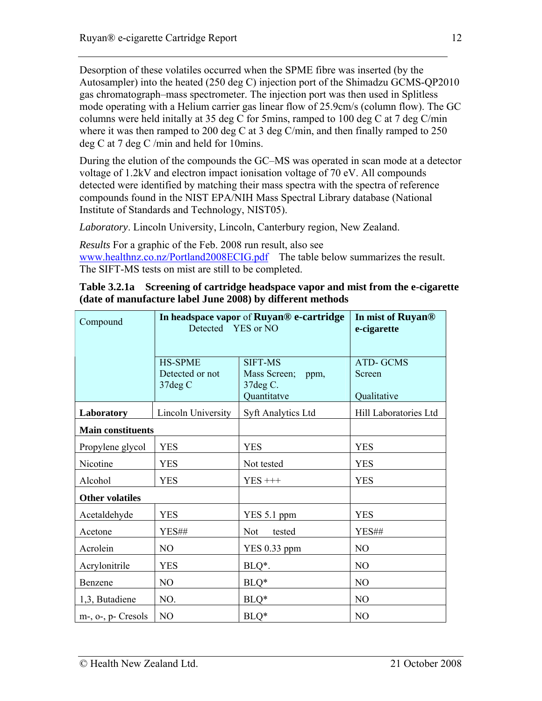Desorption of these volatiles occurred when the SPME fibre was inserted (by the Autosampler) into the heated (250 deg C) injection port of the Shimadzu GCMS-QP2010 gas chromatograph–mass spectrometer. The injection port was then used in Splitless mode operating with a Helium carrier gas linear flow of 25.9cm/s (column flow). The GC columns were held initally at 35 deg C for 5mins, ramped to 100 deg C at 7 deg C/min where it was then ramped to 200 deg C at 3 deg C/min, and then finally ramped to 250 deg C at 7 deg C /min and held for 10mins.

During the elution of the compounds the GC–MS was operated in scan mode at a detector voltage of 1.2kV and electron impact ionisation voltage of 70 eV. All compounds detected were identified by matching their mass spectra with the spectra of reference compounds found in the NIST EPA/NIH Mass Spectral Library database (National Institute of Standards and Technology, NIST05).

*Laboratory*. Lincoln University, Lincoln, Canterbury region, New Zealand.

*Results* For a graphic of the Feb. 2008 run result, also see [www.healthnz.co.nz/Portland2008ECIG.pdf](http://www.healthnz.co.nz/Portland2008ECIG.pdf) The table below summarizes the result. The SIFT-MS tests on mist are still to be completed.

| Table 3.2.1a Screening of cartridge headspace vapor and mist from the e-cigarette |
|-----------------------------------------------------------------------------------|
| (date of manufacture label June 2008) by different methods                        |

| Compound                    | In headspace vapor of Ruyan® e-cartridge<br>Detected YES or NO |                                                                    | In mist of Ruyan <sup>®</sup><br>e-cigarette |
|-----------------------------|----------------------------------------------------------------|--------------------------------------------------------------------|----------------------------------------------|
|                             | <b>HS-SPME</b><br>Detected or not<br>37deg C                   | <b>SIFT-MS</b><br>Mass Screen;<br>ppm,<br>37 deg C.<br>Quantitatve | <b>ATD-GCMS</b><br>Screen<br>Qualitative     |
| Laboratory                  | Lincoln University                                             | <b>Syft Analytics Ltd</b>                                          | Hill Laboratories Ltd                        |
| <b>Main constituents</b>    |                                                                |                                                                    |                                              |
| Propylene glycol            | <b>YES</b>                                                     | <b>YES</b>                                                         | <b>YES</b>                                   |
| Nicotine                    | <b>YES</b>                                                     | Not tested                                                         | <b>YES</b>                                   |
| Alcohol                     | <b>YES</b>                                                     | $YES+++$                                                           | <b>YES</b>                                   |
| <b>Other volatiles</b>      |                                                                |                                                                    |                                              |
| Acetaldehyde                | <b>YES</b>                                                     | YES 5.1 ppm                                                        | <b>YES</b>                                   |
| Acetone                     | YES##                                                          | <b>Not</b><br>tested                                               | YES##                                        |
| Acrolein                    | N <sub>O</sub>                                                 | <b>YES 0.33 ppm</b>                                                | N <sub>O</sub>                               |
| Acrylonitrile               | <b>YES</b>                                                     | BLQ*.                                                              | N <sub>O</sub>                               |
| Benzene                     | NO                                                             | $BLQ*$                                                             | N <sub>O</sub>                               |
| 1,3, Butadiene              | NO.                                                            | $BLQ*$                                                             | N <sub>O</sub>                               |
| $m$ -, $o$ -, $p$ - Cresols | N <sub>O</sub>                                                 | $BLQ*$                                                             | NO                                           |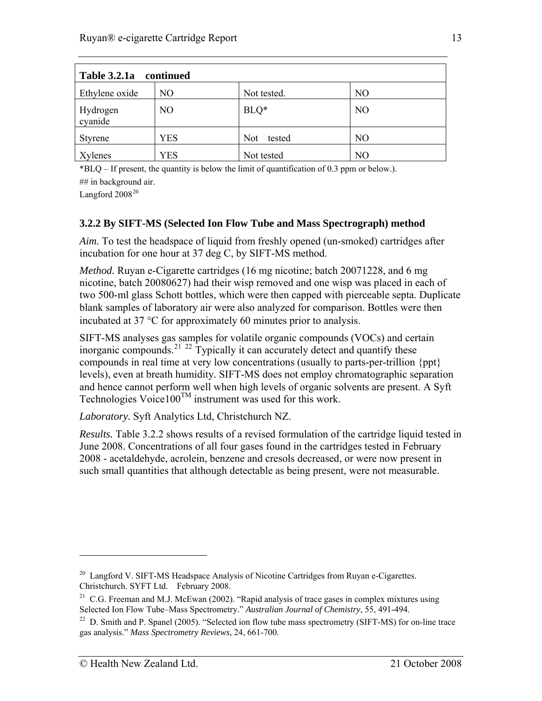| Table 3.2.1a continued |            |                      |                |  |  |
|------------------------|------------|----------------------|----------------|--|--|
| Ethylene oxide         | NO         | Not tested.          | NO             |  |  |
| Hydrogen<br>cyanide    | NO         | $BLQ*$               | N <sub>O</sub> |  |  |
| Styrene                | <b>YES</b> | <b>Not</b><br>tested | NO             |  |  |
| Xylenes                | YES        | Not tested           | N <sub>O</sub> |  |  |

\*BLQ – If present, the quantity is below the limit of quantification of 0.3 ppm or below.). ## in background air.

Langford  $2008^{20}$  $2008^{20}$ 

## **3.2.2 By SIFT-MS (Selected Ion Flow Tube and Mass Spectrograph) method**

*Aim.* To test the headspace of liquid from freshly opened (un-smoked) cartridges after incubation for one hour at 37 deg C, by SIFT-MS method.

*Method.* Ruyan e-Cigarette cartridges (16 mg nicotine; batch 20071228, and 6 mg nicotine, batch 20080627) had their wisp removed and one wisp was placed in each of two 500-ml glass Schott bottles, which were then capped with pierceable septa. Duplicate blank samples of laboratory air were also analyzed for comparison. Bottles were then incubated at 37 °C for approximately 60 minutes prior to analysis.

SIFT-MS analyses gas samples for volatile organic compounds (VOCs) and certain inorganic compounds.<sup>[21](#page-12-1) [22](#page-12-2)</sup> Typically it can accurately detect and quantify these compounds in real time at very low concentrations (usually to parts-per-trillion {ppt} levels), even at breath humidity. SIFT-MS does not employ chromatographic separation and hence cannot perform well when high levels of organic solvents are present. A Syft Technologies Voice $100^{TM}$  instrument was used for this work.

*Laboratory.* Syft Analytics Ltd, Christchurch NZ.

*Results.* Table 3.2.2 shows results of a revised formulation of the cartridge liquid tested in June 2008. Concentrations of all four gases found in the cartridges tested in February 2008 - acetaldehyde, acrolein, benzene and cresols decreased, or were now present in such small quantities that although detectable as being present, were not measurable.

<span id="page-12-0"></span><sup>&</sup>lt;sup>20</sup> Langford V. SIFT-MS Headspace Analysis of Nicotine Cartridges from Ruyan e-Cigarettes. Christchurch. SYFT Ltd. February 2008.

<span id="page-12-1"></span><sup>&</sup>lt;sup>21</sup> C.G. Freeman and M.J. McEwan (2002). "Rapid analysis of trace gases in complex mixtures using Selected Ion Flow Tube–Mass Spectrometry." *Australian Journal of Chemistry*, 55, 491-494.

<span id="page-12-2"></span><sup>&</sup>lt;sup>22</sup> D. Smith and P. Spanel (2005). "Selected ion flow tube mass spectrometry (SIFT-MS) for on-line trace gas analysis." *Mass Spectrometry Reviews*, 24, 661-700.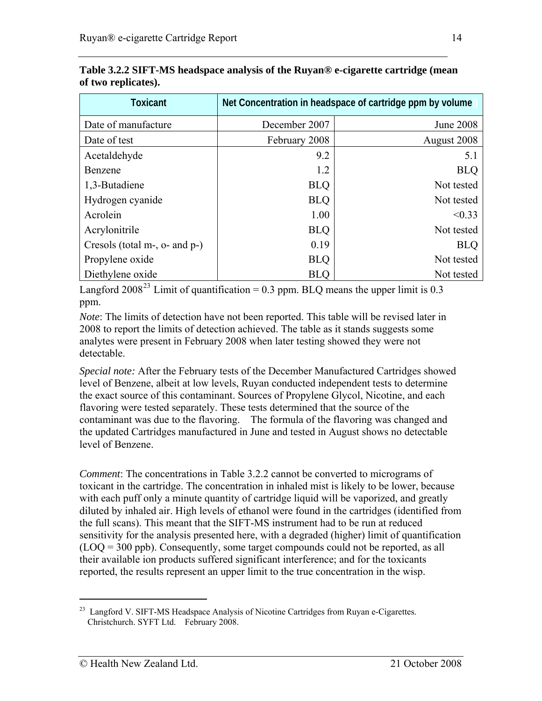| <b>Toxicant</b>               | Net Concentration in headspace of cartridge ppm by volume |                  |  |  |  |
|-------------------------------|-----------------------------------------------------------|------------------|--|--|--|
| Date of manufacture           | December 2007                                             | <b>June 2008</b> |  |  |  |
| Date of test                  | February 2008                                             | August 2008      |  |  |  |
| Acetaldehyde                  | 9.2                                                       | 5.1              |  |  |  |
| Benzene                       | 1.2                                                       | <b>BLQ</b>       |  |  |  |
| 1,3-Butadiene                 | <b>BLQ</b>                                                | Not tested       |  |  |  |
| Hydrogen cyanide              | <b>BLQ</b>                                                | Not tested       |  |  |  |
| Acrolein                      | 1.00                                                      | < 0.33           |  |  |  |
| Acrylonitrile                 | <b>BLQ</b>                                                | Not tested       |  |  |  |
| Cresols (total m-, o- and p-) | 0.19                                                      | <b>BLQ</b>       |  |  |  |
| Propylene oxide               | <b>BLQ</b>                                                | Not tested       |  |  |  |
| Diethylene oxide              | <b>BLQ</b>                                                | Not tested       |  |  |  |

**Table 3.2.2 SIFT-MS headspace analysis of the Ruyan® e-cigarette cartridge (mean of two replicates).** 

Langford 2008<sup>[23](#page-13-0)</sup> Limit of quantification = 0.3 ppm. BLQ means the upper limit is 0.3 ppm.

*Note*: The limits of detection have not been reported. This table will be revised later in 2008 to report the limits of detection achieved. The table as it stands suggests some analytes were present in February 2008 when later testing showed they were not detectable.

*Special note:* After the February tests of the December Manufactured Cartridges showed level of Benzene, albeit at low levels, Ruyan conducted independent tests to determine the exact source of this contaminant. Sources of Propylene Glycol, Nicotine, and each flavoring were tested separately. These tests determined that the source of the contaminant was due to the flavoring. The formula of the flavoring was changed and the updated Cartridges manufactured in June and tested in August shows no detectable level of Benzene.

*Comment*: The concentrations in Table 3.2.2 cannot be converted to micrograms of toxicant in the cartridge. The concentration in inhaled mist is likely to be lower, because with each puff only a minute quantity of cartridge liquid will be vaporized, and greatly diluted by inhaled air. High levels of ethanol were found in the cartridges (identified from the full scans). This meant that the SIFT-MS instrument had to be run at reduced sensitivity for the analysis presented here, with a degraded (higher) limit of quantification (LOQ = 300 ppb). Consequently, some target compounds could not be reported, as all their available ion products suffered significant interference; and for the toxicants reported, the results represent an upper limit to the true concentration in the wisp.

<span id="page-13-0"></span> $^{23}$  Langford V. SIFT-MS Headspace Analysis of Nicotine Cartridges from Ruyan e-Cigarettes. Christchurch. SYFT Ltd. February 2008.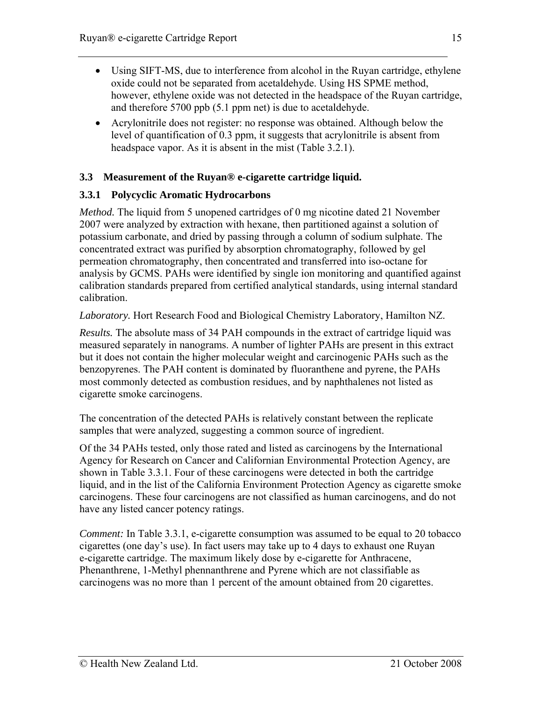- <span id="page-14-0"></span>• Using SIFT-MS, due to interference from alcohol in the Ruyan cartridge, ethylene oxide could not be separated from acetaldehyde. Using HS SPME method, however, ethylene oxide was not detected in the headspace of the Ruyan cartridge, and therefore 5700 ppb (5.1 ppm net) is due to acetaldehyde.
- Acrylonitrile does not register: no response was obtained. Although below the level of quantification of 0.3 ppm, it suggests that acrylonitrile is absent from headspace vapor. As it is absent in the mist (Table 3.2.1).

## **3.3 Measurement of the Ruyan® e-cigarette cartridge liquid.**

## **3.3.1 Polycyclic Aromatic Hydrocarbons**

*Method.* The liquid from 5 unopened cartridges of 0 mg nicotine dated 21 November 2007 were analyzed by extraction with hexane, then partitioned against a solution of potassium carbonate, and dried by passing through a column of sodium sulphate. The concentrated extract was purified by absorption chromatography, followed by gel permeation chromatography, then concentrated and transferred into iso-octane for analysis by GCMS. PAHs were identified by single ion monitoring and quantified against calibration standards prepared from certified analytical standards, using internal standard calibration.

*Laboratory.* Hort Research Food and Biological Chemistry Laboratory, Hamilton NZ.

*Results.* The absolute mass of 34 PAH compounds in the extract of cartridge liquid was measured separately in nanograms. A number of lighter PAHs are present in this extract but it does not contain the higher molecular weight and carcinogenic PAHs such as the benzopyrenes. The PAH content is dominated by fluoranthene and pyrene, the PAHs most commonly detected as combustion residues, and by naphthalenes not listed as cigarette smoke carcinogens.

The concentration of the detected PAHs is relatively constant between the replicate samples that were analyzed, suggesting a common source of ingredient.

Of the 34 PAHs tested, only those rated and listed as carcinogens by the International Agency for Research on Cancer and Californian Environmental Protection Agency, are shown in Table 3.3.1. Four of these carcinogens were detected in both the cartridge liquid, and in the list of the California Environment Protection Agency as cigarette smoke carcinogens. These four carcinogens are not classified as human carcinogens, and do not have any listed cancer potency ratings.

*Comment:* In Table 3.3.1, e-cigarette consumption was assumed to be equal to 20 tobacco cigarettes (one day's use). In fact users may take up to 4 days to exhaust one Ruyan e-cigarette cartridge. The maximum likely dose by e-cigarette for Anthracene, Phenanthrene, 1-Methyl phennanthrene and Pyrene which are not classifiable as carcinogens was no more than 1 percent of the amount obtained from 20 cigarettes.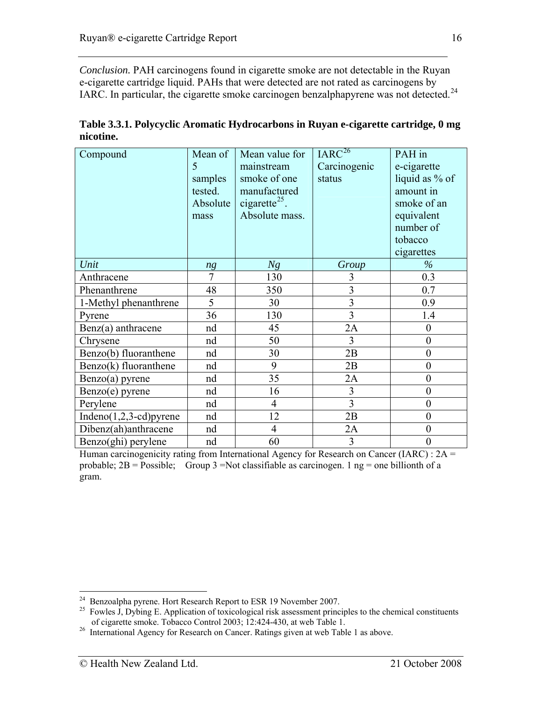*Conclusion.* PAH carcinogens found in cigarette smoke are not detectable in the Ruyan e-cigarette cartridge liquid. PAHs that were detected are not rated as carcinogens by IARC. In particular, the cigarette smoke carcinogen benzalphapyrene was not detected.<sup>[24](#page-15-0)</sup>

| Compound                 | Mean of        | Mean value for            | IARC <sup>26</sup> | PAH in           |
|--------------------------|----------------|---------------------------|--------------------|------------------|
|                          | 5              | mainstream                | Carcinogenic       | e-cigarette      |
|                          | samples        | smoke of one              | status             | liquid as % of   |
|                          | tested.        | manufactured              |                    | amount in        |
|                          | Absolute       | cigarette <sup>25</sup> . |                    | smoke of an      |
|                          | mass           | Absolute mass.            |                    | equivalent       |
|                          |                |                           |                    | number of        |
|                          |                |                           |                    | tobacco          |
|                          |                |                           |                    | cigarettes       |
| Unit                     | ng             | Ng                        | Group              | $\%$             |
| Anthracene               | $\overline{7}$ | 130                       | 3                  | 0.3              |
| Phenanthrene             | 48             | 350                       | 3                  | 0.7              |
| 1-Methyl phenanthrene    | 5              | 30                        | 3                  | 0.9              |
| Pyrene                   | 36             | 130                       | 3                  | 1.4              |
| $Benz(a)$ anthracene     | nd             | 45                        | 2A                 | $\overline{0}$   |
| Chrysene                 | nd             | 50                        | 3                  | $\overline{0}$   |
| Benzo(b) fluoranthene    | nd             | 30                        | 2B                 | $\boldsymbol{0}$ |
| Benzo(k) fluoranthene    | nd             | 9                         | 2B                 | $\overline{0}$   |
| $Benzo(a)$ pyrene        | nd             | 35                        | 2A                 | $\boldsymbol{0}$ |
| $Benzo(e)$ pyrene        | nd             | 16                        | 3                  | $\overline{0}$   |
| Perylene                 | nd             | $\overline{4}$            | $\overline{3}$     | $\overline{0}$   |
| $Indeno(1,2,3-cd)pyrene$ | nd             | 12                        | 2B                 | $\boldsymbol{0}$ |
| Dibenz(ah)anthracene     | nd             | $\overline{4}$            | 2A                 | $\boldsymbol{0}$ |
| $Benzo(ghi)$ perylene    | nd             | 60                        | 3                  | $\boldsymbol{0}$ |

**Table 3.3.1. Polycyclic Aromatic Hydrocarbons in Ruyan e-cigarette cartridge, 0 mg nicotine.**

Human carcinogenicity rating from International Agency for Research on Cancer (IARC) : 2A = probable;  $2B = \text{Possible}$ ; Group 3 =Not classifiable as carcinogen. 1 ng = one billionth of a gram.

<span id="page-15-0"></span> $24$  Benzoalpha pyrene. Hort Research Report to ESR 19 November 2007.

<span id="page-15-1"></span> $^{25}$  Fowles J, Dybing E. Application of toxicological risk assessment principles to the chemical constituents of cigarette smoke. Tobacco Control 2003; 12:424-430, at web Table 1. 26 International Agency for Research on Cancer. Ratings given at web Table 1 as above.

<span id="page-15-2"></span>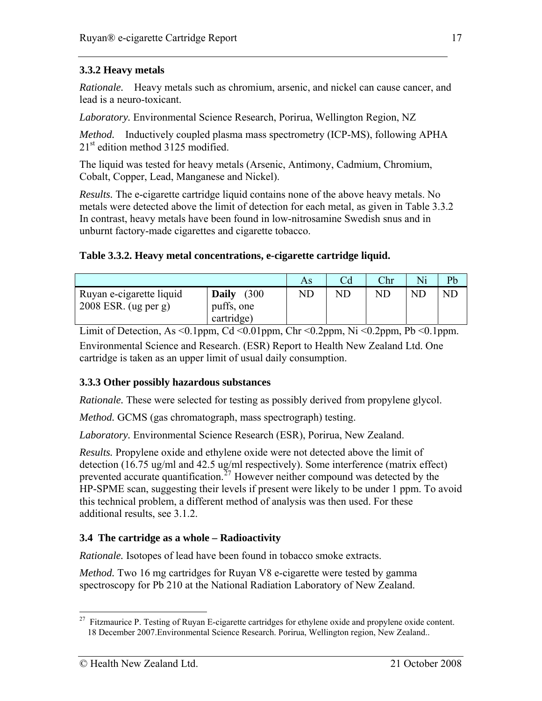## <span id="page-16-0"></span>**3.3.2 Heavy metals**

*Rationale.* Heavy metals such as chromium, arsenic, and nickel can cause cancer, and lead is a neuro-toxicant.

*Laboratory.* Environmental Science Research, Porirua, Wellington Region, NZ

*Method.* Inductively coupled plasma mass spectrometry (ICP-MS), following APHA  $21<sup>st</sup>$  edition method 3125 modified.

The liquid was tested for heavy metals (Arsenic, Antimony, Cadmium, Chromium, Cobalt, Copper, Lead, Manganese and Nickel).

*Results.* The e-cigarette cartridge liquid contains none of the above heavy metals. No metals were detected above the limit of detection for each metal, as given in Table 3.3.2 In contrast, heavy metals have been found in low-nitrosamine Swedish snus and in unburnt factory-made cigarettes and cigarette tobacco.

#### **Table 3.3.2. Heavy metal concentrations, e-cigarette cartridge liquid.**

|                                                    |                             | As         | Cd | Chr | Ni        | Pb        |
|----------------------------------------------------|-----------------------------|------------|----|-----|-----------|-----------|
| Ruyan e-cigarette liquid<br>$2008$ ESR. (ug per g) | (300<br>Daily<br>puffs, one | ${\rm ND}$ | ND | ND  | <b>ND</b> | <b>ND</b> |
|                                                    | cartridge)                  |            |    |     |           |           |

Limit of Detection, As <0.1ppm, Cd <0.01ppm, Chr <0.2ppm, Ni <0.2ppm, Pb <0.1ppm. Environmental Science and Research. (ESR) Report to Health New Zealand Ltd. One cartridge is taken as an upper limit of usual daily consumption.

#### **3.3.3 Other possibly hazardous substances**

*Rationale.* These were selected for testing as possibly derived from propylene glycol.

*Method.* GCMS (gas chromatograph, mass spectrograph) testing.

*Laboratory.* Environmental Science Research (ESR), Porirua, New Zealand.

*Results.* Propylene oxide and ethylene oxide were not detected above the limit of detection (16.75 ug/ml and 42.5 ug/ml respectively). Some interference (matrix effect) prevented accurate quantification.<sup>[27](#page-16-1)</sup> However neither compound was detected by the HP-SPME scan, suggesting their levels if present were likely to be under 1 ppm. To avoid this technical problem, a different method of analysis was then used. For these additional results, see 3.1.2.

#### **3.4 The cartridge as a whole – Radioactivity**

*Rationale.* Isotopes of lead have been found in tobacco smoke extracts.

*Method.* Two 16 mg cartridges for Ruyan V8 e-cigarette were tested by gamma spectroscopy for Pb 210 at the National Radiation Laboratory of New Zealand.

 $\overline{a}$ 

17

<span id="page-16-1"></span><sup>&</sup>lt;sup>27</sup> Fitzmaurice P. Testing of Ruyan E-cigarette cartridges for ethylene oxide and propylene oxide content. 18 December 2007.Environmental Science Research. Porirua, Wellington region, New Zealand..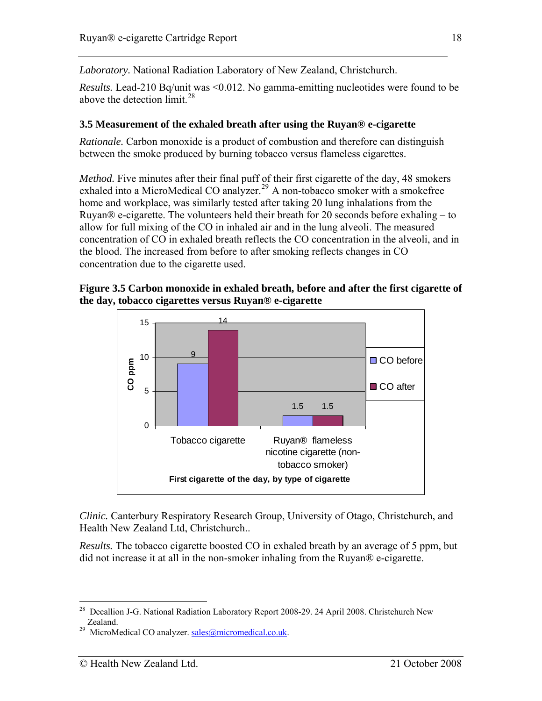<span id="page-17-0"></span>*Laboratory.* National Radiation Laboratory of New Zealand, Christchurch.

*Results.* Lead-210 Bq/unit was <0.012. No gamma-emitting nucleotides were found to be above the detection limit.<sup>[28](#page-17-1)</sup>

## **3.5 Measurement of the exhaled breath after using the Ruyan® e-cigarette**

*Rationale.* Carbon monoxide is a product of combustion and therefore can distinguish between the smoke produced by burning tobacco versus flameless cigarettes.

*Method.* Five minutes after their final puff of their first cigarette of the day, 48 smokers exhaled into a MicroMedical CO analyzer.<sup>[29](#page-17-2)</sup> A non-tobacco smoker with a smokefree home and workplace, was similarly tested after taking 20 lung inhalations from the Ruyan® e-cigarette. The volunteers held their breath for 20 seconds before exhaling – to allow for full mixing of the CO in inhaled air and in the lung alveoli. The measured concentration of CO in exhaled breath reflects the CO concentration in the alveoli, and in the blood. The increased from before to after smoking reflects changes in CO concentration due to the cigarette used.

#### **Figure 3.5 Carbon monoxide in exhaled breath, before and after the first cigarette of the day, tobacco cigarettes versus Ruyan® e-cigarette**



*Clinic.* Canterbury Respiratory Research Group, University of Otago, Christchurch, and Health New Zealand Ltd, Christchurch..

*Results.* The tobacco cigarette boosted CO in exhaled breath by an average of 5 ppm, but did not increase it at all in the non-smoker inhaling from the Ruyan® e-cigarette.

<span id="page-17-1"></span> $\overline{a}$ <sup>28</sup> Decallion J-G. National Radiation Laboratory Report 2008-29. 24 April 2008. Christchurch New Zealand.<br>
MicroMedical CO analyzer. [sales@micromedical.co.uk](mailto:sales@micromedical.co.uk).

<span id="page-17-2"></span>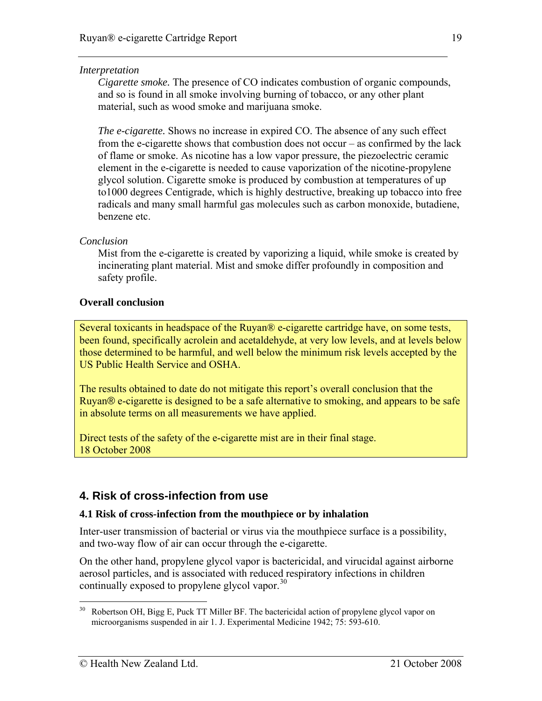#### <span id="page-18-0"></span>*Interpretation*

*Cigarette smoke.* The presence of CO indicates combustion of organic compounds, and so is found in all smoke involving burning of tobacco, or any other plant material, such as wood smoke and marijuana smoke.

*The e-cigarette.* Shows no increase in expired CO. The absence of any such effect from the e-cigarette shows that combustion does not occur – as confirmed by the lack of flame or smoke. As nicotine has a low vapor pressure, the piezoelectric ceramic element in the e-cigarette is needed to cause vaporization of the nicotine-propylene glycol solution. Cigarette smoke is produced by combustion at temperatures of up to1000 degrees Centigrade, which is highly destructive, breaking up tobacco into free radicals and many small harmful gas molecules such as carbon monoxide, butadiene, benzene etc.

#### *Conclusion*

Mist from the e-cigarette is created by vaporizing a liquid, while smoke is created by incinerating plant material. Mist and smoke differ profoundly in composition and safety profile.

#### **Overall conclusion**

Several toxicants in headspace of the Ruyan® e-cigarette cartridge have, on some tests, been found, specifically acrolein and acetaldehyde, at very low levels, and at levels below those determined to be harmful, and well below the minimum risk levels accepted by the US Public Health Service and OSHA.

The results obtained to date do not mitigate this report's overall conclusion that the Ruyan® e-cigarette is designed to be a safe alternative to smoking, and appears to be safe in absolute terms on all measurements we have applied.

Direct tests of the safety of the e-cigarette mist are in their final stage. 18 October 2008

## **4. Risk of cross-infection from use**

#### **4.1 Risk of cross-infection from the mouthpiece or by inhalation**

Inter-user transmission of bacterial or virus via the mouthpiece surface is a possibility, and two-way flow of air can occur through the e-cigarette.

On the other hand, propylene glycol vapor is bactericidal, and virucidal against airborne aerosol particles, and is associated with reduced respiratory infections in children continually exposed to propylene glycol vapor. $30$ 

<span id="page-18-1"></span><sup>30</sup> 30 Robertson OH, Bigg E, Puck TT Miller BF. The bactericidal action of propylene glycol vapor on microorganisms suspended in air 1. J. Experimental Medicine 1942; 75: 593-610.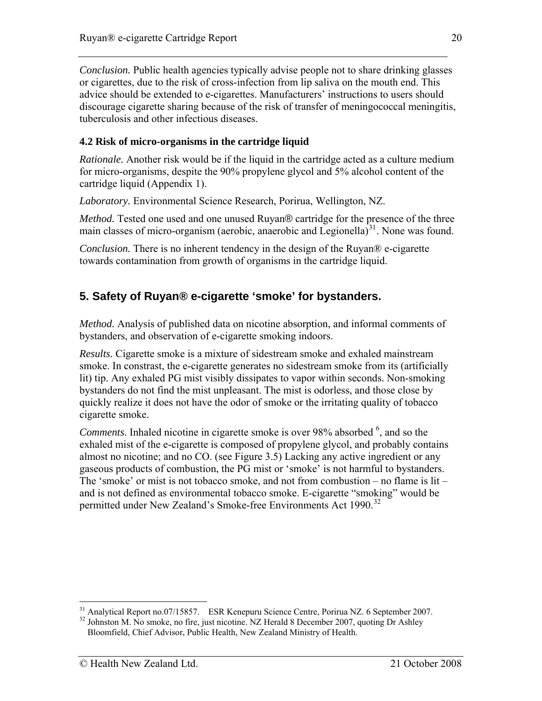<span id="page-19-0"></span>*Conclusion.* Public health agencies typically advise people not to share drinking glasses or cigarettes, due to the risk of cross-infection from lip saliva on the mouth end. This advice should be extended to e-cigarettes. Manufacturers' instructions to users should discourage cigarette sharing because of the risk of transfer of meningococcal meningitis, tuberculosis and other infectious diseases.

### **4.2 Risk of micro-organisms in the cartridge liquid**

*Rationale.* Another risk would be if the liquid in the cartridge acted as a culture medium for micro-organisms, despite the 90% propylene glycol and 5% alcohol content of the cartridge liquid (Appendix 1).

*Laboratory.* Environmental Science Research, Porirua, Wellington, NZ.

*Method.* Tested one used and one unused Ruyan® cartridge for the presence of the three main classes of micro-organism (aerobic, anaerobic and Legionella) $31$ . None was found.

*Conclusion.* There is no inherent tendency in the design of the Ruyan<sup>®</sup> e-cigarette towards contamination from growth of organisms in the cartridge liquid.

## **5. Safety of Ruyan® e-cigarette 'smoke' for bystanders.**

*Method.* Analysis of published data on nicotine absorption, and informal comments of bystanders, and observation of e-cigarette smoking indoors.

*Results.* Cigarette smoke is a mixture of sidestream smoke and exhaled mainstream smoke. In constrast, the e-cigarette generates no sidestream smoke from its (artificially lit) tip. Any exhaled PG mist visibly dissipates to vapor within seconds. Non-smoking bystanders do not find the mist unpleasant. The mist is odorless, and those close by quickly realize it does not have the odor of smoke or the irritating quality of tobacco cigarette smoke.

Comments. Inhaled nicotine in cigarette smoke is over 98% absorbed <sup>6</sup>, and so the exhaled mist of the e-cigarette is composed of propylene glycol, and probably contains almost no nicotine; and no CO. (see Figure 3.5) Lacking any active ingredient or any gaseous products of combustion, the PG mist or 'smoke' is not harmful to bystanders. The 'smoke' or mist is not tobacco smoke, and not from combustion – no flame is lit – and is not defined as environmental tobacco smoke. E-cigarette "smoking" would be permitted under New Zealand's Smoke-free Environments Act 1990.<sup>[32](#page-19-2)</sup>

 $\overline{a}$ <sup>31</sup> Analytical Report no.07/15857. ESR Kenepuru Science Centre, Porirua NZ. 6 September 2007.

<span id="page-19-2"></span><span id="page-19-1"></span><sup>&</sup>lt;sup>32</sup> Johnston M. No smoke, no fire, just nicotine. NZ Herald 8 December 2007, quoting Dr Ashley Bloomfield, Chief Advisor, Public Health, New Zealand Ministry of Health.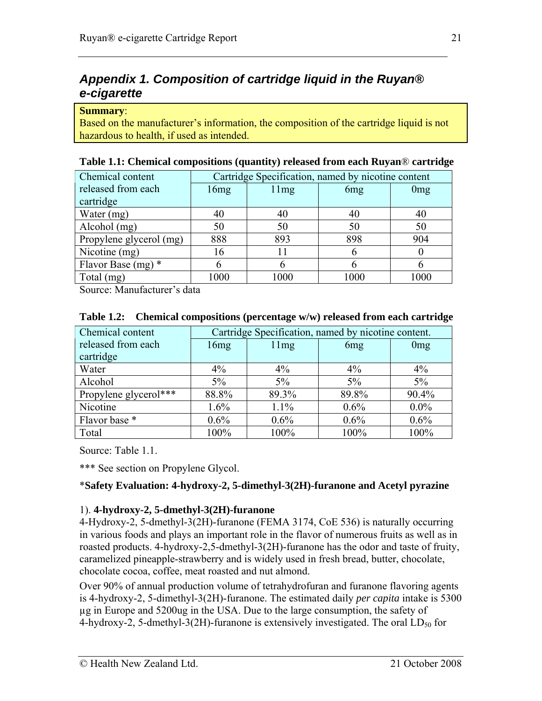## <span id="page-20-0"></span>*Appendix 1. Composition of cartridge liquid in the Ruyan® e-cigarette*

#### **Summary**:

Based on the manufacturer's information, the composition of the cartridge liquid is not hazardous to health, if used as intended.

| Chemical content        | Cartridge Specification, named by nicotine content |      |                 |                 |  |  |
|-------------------------|----------------------------------------------------|------|-----------------|-----------------|--|--|
| released from each      | 16mg                                               | 11mg | 6 <sub>mg</sub> | 0 <sub>mg</sub> |  |  |
| cartridge               |                                                    |      |                 |                 |  |  |
| Water (mg)              | 40                                                 |      |                 | 40              |  |  |
| Alcohol (mg)            | 50                                                 | 50   | 50              | 50              |  |  |
| Propylene glycerol (mg) | 888                                                | 893  | 898             | 904             |  |  |
| Nicotine (mg)           | 16                                                 |      |                 |                 |  |  |
| Flavor Base $(mg)$ *    | 6                                                  |      |                 | h               |  |  |
| Total (mg)              | 1000                                               | 1000 | 1000            | 1000            |  |  |

#### **Table 1.1: Chemical compositions (quantity) released from each Ruyan**® **cartridge**

Source: Manufacturer's data

| Chemical content      |         | Cartridge Specification, named by nicotine content. |         |         |  |  |  |
|-----------------------|---------|-----------------------------------------------------|---------|---------|--|--|--|
| released from each    | 16mg    | 11mg<br>0 <sub>mg</sub><br>6 <sub>mg</sub>          |         |         |  |  |  |
| cartridge             |         |                                                     |         |         |  |  |  |
| Water                 | $4\%$   | $4\%$                                               | $4\%$   | $4\%$   |  |  |  |
| Alcohol               | $5\%$   | $5\%$                                               | 5%      | $5\%$   |  |  |  |
| Propylene glycerol*** | 88.8%   | 89.3%                                               | 89.8%   | 90.4%   |  |  |  |
| Nicotine              | 1.6%    | $1.1\%$                                             | $0.6\%$ | $0.0\%$ |  |  |  |
| Flavor base *         | $0.6\%$ | $0.6\%$                                             | $0.6\%$ | 0.6%    |  |  |  |
| Total                 | 100%    | 100%                                                | 100%    | 100%    |  |  |  |

#### **Table 1.2: Chemical compositions (percentage w/w) released from each cartridge**

Source: Table 1.1.

\*\*\* See section on Propylene Glycol.

#### \***Safety Evaluation: 4-hydroxy-2, 5-dimethyl-3(2H)-furanone and Acetyl pyrazine**

#### 1). **4-hydroxy-2, 5-dmethyl-3(2H)-furanone**

4-Hydroxy-2, 5-dmethyl-3(2H)-furanone (FEMA 3174, CoE 536) is naturally occurring in various foods and plays an important role in the flavor of numerous fruits as well as in roasted products. 4-hydroxy-2,5-dmethyl-3(2H)-furanone has the odor and taste of fruity, caramelized pineapple-strawberry and is widely used in fresh bread, butter, chocolate, chocolate cocoa, coffee, meat roasted and nut almond.

Over 90% of annual production volume of tetrahydrofuran and furanone flavoring agents is 4-hydroxy-2, 5-dimethyl-3(2H)-furanone. The estimated daily *per capita* intake is 5300 µg in Europe and 5200ug in the USA. Due to the large consumption, the safety of 4-hydroxy-2, 5-dmethyl-3(2H)-furanone is extensively investigated. The oral  $LD_{50}$  for